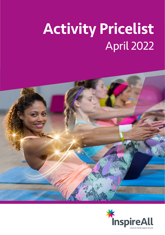# Activity Pricelist April 2022



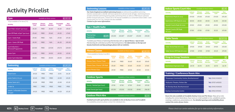| <b>Indoor Sports Court Hire</b>                      |                        | Available at these centres:     |                              |                    | BG FF                       |
|------------------------------------------------------|------------------------|---------------------------------|------------------------------|--------------------|-----------------------------|
| <b>Activity</b>                                      | <b>Leisure</b><br>Card | <b>Fitness</b><br><b>Member</b> | <b>Swim</b><br><b>Member</b> | Concession<br>Card | <b>Non</b><br><b>Member</b> |
| Badminton Peak (55 mins)                             | £11.00                 | £11.00                          | £11.00                       | £11.00             | £15.00                      |
| Badminton Off-Peak (55 mins)                         | £8.50                  | £8.50                           | £8.50                        | £6.40              | £12.50                      |
| Squash Courts Peak (45 mins)                         | £9.00                  | £9.00                           | £9.00                        | £9.00              | £13.00                      |
| <b>Squash Courts Off-Peak</b><br>$(45 \text{ mins})$ | £7.00                  | £7.00                           | £7.00                        | £5.25              | £11.00                      |

| $\overline{\text{KEY:}}$ BG Bushey Grove FF Furzefield TV The Venue |
|---------------------------------------------------------------------|
|                                                                     |



*Football and multi-sport pitches are available to hire at Bushey Grove and Furzefield. For availability and prices please contact the individual sites.*

| <b>Swimming</b>                                   | Available at these centres:<br>$  $ TV $  $<br>FF I |                                 |                              |                           |                             |
|---------------------------------------------------|-----------------------------------------------------|---------------------------------|------------------------------|---------------------------|-----------------------------|
| <b>Activity</b>                                   | <b>Leisure</b><br>Card                              | <b>Fitness</b><br><b>Member</b> | <b>Swim</b><br><b>Member</b> | <b>Concession</b><br>Card | <b>Non</b><br><b>Member</b> |
| <b>Adult Swim</b>                                 | £4.20                                               | <b>FREE</b>                     | <b>FREE</b>                  | £3.15                     | £6.20                       |
| Junior Swim (3-16 yrs)                            | £3.20                                               | <b>FREE</b>                     | <b>FREE</b>                  | £2.40                     | £4.20                       |
| Senior Swim (65 <sup>+</sup> )                    | £3.20                                               | <b>FREE</b>                     | <b>FREE</b>                  | £2.40                     | £5.20                       |
| <b>Under 3s</b>                                   | <b>FREE</b>                                         | <b>FREE</b>                     | <b>FREE</b>                  | <b>FREE</b>               | <b>FREE</b>                 |
| <b>Splash / Inflatable Sessions</b><br>(all ages) | £4.20                                               | <b>FREE</b>                     | <b>FREE</b>                  | £4.20                     | £5.20                       |

**Fitness** Member

**Non** Member

| Table Tennis                    |                 | Available at these centres: |                              |                    | <b>BG</b> FF TV             |
|---------------------------------|-----------------|-----------------------------|------------------------------|--------------------|-----------------------------|
| <b>Activity</b>                 | Leisure<br>Card | <b>Fitness</b><br>Member    | <b>Swim</b><br><b>Member</b> | Concession<br>Card | <b>Non</b><br><b>Member</b> |
| Table Tennis Peak (45 mins)     | £9.00           | £9.00                       | £9.00                        | £9.00              | £13.00                      |
| Table Tennis Off-Peak (45 mins) | £7.00           | £7.00                       | £7.00                        | £5.25              | £11.00                      |

### Swimming Lessons

**Fitness** Member

Tennis / Netball (per hour)  $\qquad \qquad$  £7.50  $\qquad \qquad$  £7.50  $\qquad \qquad$  £5.65  $\qquad$  £11.50

**Outdoor Sports** *Available at these centres:* **BG** 

Fitness Class / Prama\* Peak  $=$  £6.60 FREE  $=$  £6.60  $=$  £8.60  $=$  £8.60

Fitness Class / Prama\* Off-Peak  $\overline{25.60}$  FREE £5.60 £4.20 £7.60

Junior Fitness Class  $\overline{f}$   $\overline{f}$   $\overline{f}$   $\overline{f}$   $\overline{f}$   $\overline{f}$   $\overline{f}$   $\overline{f}$   $\overline{f}$   $\overline{f}$   $\overline{f}$   $\overline{f}$   $\overline{f}$   $\overline{f}$   $\overline{f}$   $\overline{f}$   $\overline{f}$   $\overline{f}$   $\overline{f}$   $\overline{f}$   $\overline{f}$   $\overline{f}$   $\$ 

*Our Swim England accredited swimming lessons are delivered by qualified swimming teachers and provide a vital life-skill and a great form of exercise for all ages. Swimming lessons include unlimited swimming during public swimming times as well as a FREE leisure card and further exclusive discounts. Classes are £7.92 and are available as a convenient Direct Debit. Crash* 

*courses and 1-to-1 or 1-to-2 lessons are also available.* 

*Contact us for more information.*

# **Activity Pricelist Auxillary Available at these centres:** BC FF TV Indonesiant **Activity Activity Activity Activity Activity Activity Activity Activity Activity Activity Activity Activity Activit**

| Gym                                          |                 | Available at these centres:     |                              |                    |                             |
|----------------------------------------------|-----------------|---------------------------------|------------------------------|--------------------|-----------------------------|
| *eGym available at The Venue [TV]            |                 |                                 |                              |                    |                             |
| <b>Activity</b>                              | Leisure<br>Card | <b>Fitness</b><br><b>Member</b> | <b>Swim</b><br><b>Member</b> | Concession<br>Card | <b>Non</b><br><b>Member</b> |
| Gym Peak / eGym <sup>*</sup> (per hour)      | £6.60           | <b>FREE</b>                     | £6.60                        | £6.60              | £8.60                       |
| Gym Off-Peak / eGym <sup>*</sup> (per hour)  | £5.60           | <b>FREE</b>                     | £5.60                        | £4.20              | £7.60                       |
| Gym + Swim Peak                              | £9.30           | <b>FREE</b>                     | N/A                          | £9.30              | £11.30                      |
| Gym + Swim Off-Peak                          | £8.30           | <b>FREE</b>                     | N/A                          | £6.20              | £10.30                      |
| <b>Gym Induction /</b><br>Personal Programme | £21.00          | <b>FREE</b>                     | £21.00                       | £15.75             | £24.00                      |
| Junior Gym                                   | £4.50           | <b>FREE</b>                     | £4.50                        | £4.50              | £5.50                       |
| Junior Gym Induction                         | £8.00           | <b>FREE</b>                     | £8.00                        | £8.00              | £10.00                      |

*Room hire also available at Furzefield, Bushey Grove and The Venue. Many of our sites including the centres listed above, have rooms or a hall available to hire, suitable for parties, meetings, conferences, presentations etc. For detailed openings and availability please contact the centre of your choice.*

*Please check our centre websites for up-to-date activity information.*

Activity Leisure

Card

Swim Member Concession Card

Padel Tennis (per hour) £12.50 £12.50 £12.50 £9.40 £16.50

**Outdoor Pitch Hire** *Available at these centres:* BG FF

| <b>Drop in Group Sessions</b>   | Available at these centres: |                          |                              | BG                 |                             |
|---------------------------------|-----------------------------|--------------------------|------------------------------|--------------------|-----------------------------|
| <b>Activity</b>                 | <b>Leisure</b><br>Card      | <b>Fitness</b><br>Member | <b>Swim</b><br><b>Member</b> | Concession<br>Card | <b>Non</b><br><b>Member</b> |
| <b>Badminton Improvers Club</b> | £4.70                       | £4.70                    | £4.70                        | £4.70              | £6.70                       |

Activity Leisure

Card

Fitness Member

Experience  $\begin{array}{|c|c|c|c|c|c|}\n\hline\n\text{E6} & \text{F6} & \text{E12.00} & \text{E12.00} & \text{E12.00} & \text{E12.00} & \text{E14.00}\n\hline\n\end{array}$ 

Swim Member

| <b>Training / Conference Room Hire</b>  |                   |  |  |  |  |
|-----------------------------------------|-------------------|--|--|--|--|
| Threeways Community Centre, Borehamwood | Tel: 01442 454000 |  |  |  |  |
| <b>Wyllyotts Theatre, Potters Bar</b>   | Tel: 01707 645005 |  |  |  |  |
| 96 Shenley Road, Borehamwood            | Tel: 01442 454000 |  |  |  |  |
| <b>Bushey Community Centre</b>          | Tel: 01923 470140 |  |  |  |  |

Concession Card

Non Member

Thermal Spa

Spa + Health Suite

BG FF

\**Combine your Fitness or Swimming Membership with our Spa & Fitness or Spa & Swim Memberships for unlimited use of the Thermal Experience. For information on the Spa and* 

Available at these centres:

*beauty treatments and Spa packages please visit our websites.*

**Fitness Classes** *Available at these centres:* 

Activity Leisure

Card

Swim Member Concession Card

Non Member

BG FF TV

*\* Prama available at Bushey Grove* [BG]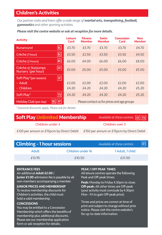## Children's Activities

*Our partner clubs and hirers offer a wide range of martial arts, trampolining, football, gymnastics and other sporting activities.*

#### *Please visit the centre website or ask at reception for more details.*

| <b>Activity</b>                                                | Leisure<br>Card | <b>Fitness</b><br><b>Member</b>             | <b>Swim</b><br><b>Member</b> | <b>Concession</b><br>Card | <b>Non</b><br><b>Member</b> |
|----------------------------------------------------------------|-----------------|---------------------------------------------|------------------------------|---------------------------|-----------------------------|
| BG <br>Runaround                                               | £3.70           | £3.70                                       | £3.70                        | £3.70                     | £4.70                       |
| <b>BG</b><br>Crèche (1 hour)                                   | £3.50           | £2.50                                       | £3.50                        | £3.50                     | £4.50                       |
| <b>BG</b><br>Crèche (2 hours)                                  | £6.00           | £4.00                                       | £6.00                        | £6.00                     | £8.00                       |
| <b>FE</b><br>Crèche @ Starjumps<br>Nursery (per hour)          | £5.00           | £5.00                                       | £5.00                        | £5.00                     | £5.00                       |
| Soft Play*(per session)<br>FF  <br>Adult<br>٠<br>Children<br>٠ | £2.00<br>£4.20  | f2.00<br>£4.20                              | f2.00<br>£4.20               | £2.00<br>£4.20            | £2.00<br>£5.20              |
| TV <br>Soft Play*                                              | £4.20           | £4.20                                       | £4.20                        | £4.20                     | £5.20                       |
| <b>IFF</b><br> BG <br>Holiday Club (per day)                   |                 | Please contact us for prices and age groups |                              |                           |                             |

*\* Seasonal discounts apply. Please ask for details.*

| <b>Soft Play Unlimited Membership</b>    | Available at these centres: $\boxed{FF}$ $\boxed{TV}$ |
|------------------------------------------|-------------------------------------------------------|
| Children under 3                         | Children over 3                                       |
| £120 per annum or £15pcm by Direct Debit | £150 per annum or £15pcm by Direct Debit              |

| <b>Climbing - 1 hour sessions</b> |                   | Available at these centres: | <b>FF</b> |
|-----------------------------------|-------------------|-----------------------------|-----------|
| Adult                             | Children under 16 | 1 Adult, 1 child            |           |
| £13.95                            | £10.50            | £21.00                      |           |

#### ENTRANCE FEES

An additional Adult £2.00 /

Junior £1.00 admission fee is payable by all non-members accompanying a member.

JUNIOR PRICES AND MEMBERSHIP To receive membership discounts for Children's activities, the child must hold a valid membership.

#### **CONCESSIONS**

You may be entitled to a Concession Membership which offers the benefits of membership plus additional discounts. Please see our membership application form or ask reception for details.

#### PEAK / OFF PEAK TIMES

All leisure centres operate the following Peak and Off-peak times:

Peak: Monday to Friday 4.30pm to close. Off-peak: All other times are Off-peak (your activity must conclude by 4.30pm Mon - Fri to gain Off-peak price).

Times and prices are correct at time of print and subject to change without prior notice. Please visit the centre website's for up-to-date information.